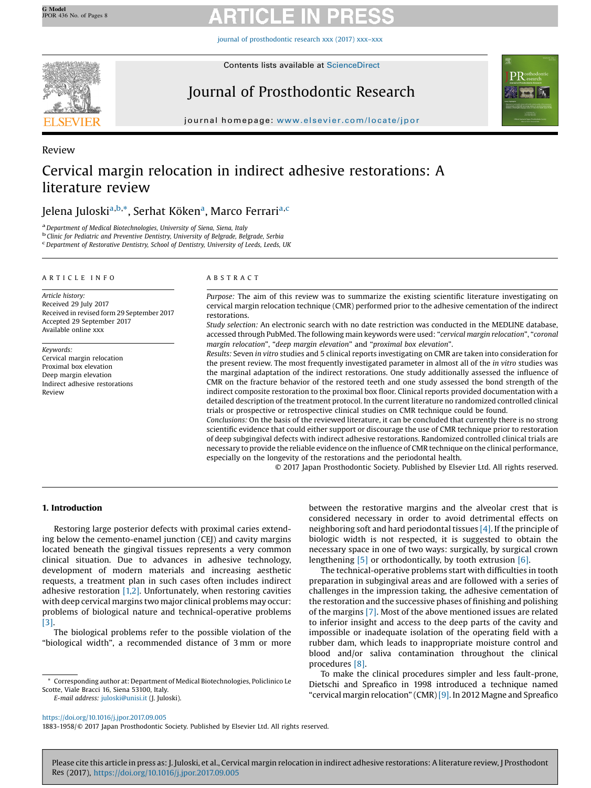journal of [prosthodontic](https://doi.org/10.1016/j.jpor.2017.09.005) research xxx (2017) xxx–xxx



Review

## Journal of Prosthodontic Research



journal homepage: where  $j$ 

# Cervical margin relocation in indirect adhesive restorations: A literature review

## Jelena Juloski<sup>a,b,</sup>\*, Serhat Köken<sup>a</sup>, Marco Ferrari<sup>a,c</sup>

a Department of Medical Biotechnologies, University of Siena, Siena, Italy b Clinic for Pediatric and Preventive Dentistry, University of Belgrade, Belgrade, Serbia

Department of Restorative Dentistry, School of Dentistry, University of Leeds, Leeds, UK

#### A R T I C L E I N F O

Article history: Received 29 July 2017 Received in revised form 29 September 2017 Accepted 29 September 2017 Available online xxx

Keywords: Cervical margin relocation Proximal box elevation Deep margin elevation Indirect adhesive restorations Review

#### A B S T R A C T

Purpose: The aim of this review was to summarize the existing scientific literature investigating on cervical margin relocation technique (CMR) performed prior to the adhesive cementation of the indirect restorations.

Study selection: An electronic search with no date restriction was conducted in the MEDLINE database, accessed through PubMed. The following main keywords were used: "cervical margin relocation", "coronal margin relocation", "deep margin elevation" and "proximal box elevation".

Results: Seven in vitro studies and 5 clinical reports investigating on CMR are taken into consideration for the present review. The most frequently investigated parameter in almost all of the in vitro studies was the marginal adaptation of the indirect restorations. One study additionally assessed the influence of CMR on the fracture behavior of the restored teeth and one study assessed the bond strength of the indirect composite restoration to the proximal box floor. Clinical reports provided documentation with a detailed description of the treatment protocol. In the current literature no randomized controlled clinical trials or prospective or retrospective clinical studies on CMR technique could be found.

Conclusions: On the basis of the reviewed literature, it can be concluded that currently there is no strong scientific evidence that could either support or discourage the use of CMR technique prior to restoration of deep subgingival defects with indirect adhesive restorations. Randomized controlled clinical trials are necessary to provide the reliable evidence on the influence of CMR technique on the clinical performance, especially on the longevity of the restorations and the periodontal health.

© 2017 Japan Prosthodontic Society. Published by Elsevier Ltd. All rights reserved.

#### 1. Introduction

Restoring large posterior defects with proximal caries extending below the cemento-enamel junction (CEJ) and cavity margins located beneath the gingival tissues represents a very common clinical situation. Due to advances in adhesive technology, development of modern materials and increasing aesthetic requests, a treatment plan in such cases often includes indirect adhesive restoration  $[1,2]$ . Unfortunately, when restoring cavities with deep cervical margins two major clinical problems may occur: problems of biological nature and technical-operative problems [\[3\]](#page--1-0).

The biological problems refer to the possible violation of the "biological width", a recommended distance of 3 mm or more

E-mail address: [juloski@unisi.it](mailto:juloski@unisi.it) (J. Juloski).

between the restorative margins and the alveolar crest that is considered necessary in order to avoid detrimental effects on neighboring soft and hard periodontal tissues [\[4\].](#page--1-0) If the principle of biologic width is not respected, it is suggested to obtain the necessary space in one of two ways: surgically, by surgical crown lengthening  $\boxed{5}$  or orthodontically, by tooth extrusion  $\boxed{6}$ .

The technical-operative problems start with difficulties in tooth preparation in subgingival areas and are followed with a series of challenges in the impression taking, the adhesive cementation of the restoration and the successive phases of finishing and polishing of the margins [\[7\]](#page--1-0). Most of the above mentioned issues are related to inferior insight and access to the deep parts of the cavity and impossible or inadequate isolation of the operating field with a rubber dam, which leads to inappropriate moisture control and blood and/or saliva contamination throughout the clinical procedures [\[8\].](#page--1-0)

To make the clinical procedures simpler and less fault-prone, Dietschi and Spreafico in 1998 introduced a technique named "cervical margin relocation" (CMR)[\[9\].](#page--1-0) In 2012 Magne and Spreafico

1883-1958/© 2017 Japan Prosthodontic Society. Published by Elsevier Ltd. All rights reserved.

Please cite this article in press as: J. Juloski, et al., Cervical margin relocation in indirect adhesive restorations: A literature review, J Prosthodont Res (2017), <https://doi.org/10.1016/j.jpor.2017.09.005>

Corresponding author at: Department of Medical Biotechnologies, Policlinico Le Scotte, Viale Bracci 16, Siena 53100, Italy.

<https://doi.org/10.1016/j.jpor.2017.09.005>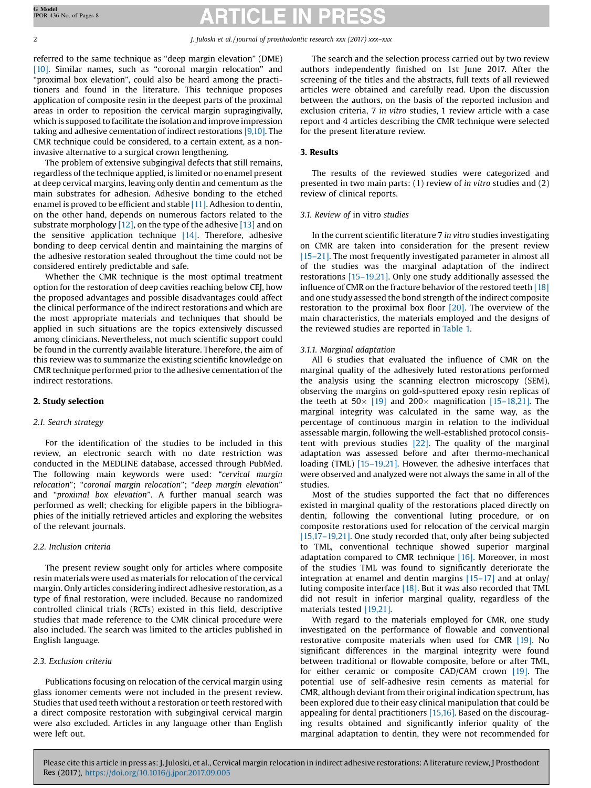#### 2 J. Juloski et al. / journal of prosthodontic research xxx (2017) xxx–xxx

referred to the same technique as "deep margin elevation" (DME) [\[10\].](#page--1-0) Similar names, such as "coronal margin relocation" and "proximal box elevation", could also be heard among the practitioners and found in the literature. This technique proposes application of composite resin in the deepest parts of the proximal areas in order to reposition the cervical margin supragingivally, which is supposed to facilitate the isolation and improve impression taking and adhesive cementation of indirect restorations [\[9,10\]](#page--1-0). The CMR technique could be considered, to a certain extent, as a noninvasive alternative to a surgical crown lengthening.

The problem of extensive subgingival defects that still remains, regardless of the technique applied, is limited or no enamel present at deep cervical margins, leaving only dentin and cementum as the main substrates for adhesion. Adhesive bonding to the etched enamel is proved to be efficient and stable [\[11\]](#page--1-0). Adhesion to dentin, on the other hand, depends on numerous factors related to the substrate morphology  $[12]$ , on the type of the adhesive  $[13]$  and on the sensitive application technique  $[14]$ . Therefore, adhesive bonding to deep cervical dentin and maintaining the margins of the adhesive restoration sealed throughout the time could not be considered entirely predictable and safe.

Whether the CMR technique is the most optimal treatment option for the restoration of deep cavities reaching below CEJ, how the proposed advantages and possible disadvantages could affect the clinical performance of the indirect restorations and which are the most appropriate materials and techniques that should be applied in such situations are the topics extensively discussed among clinicians. Nevertheless, not much scientific support could be found in the currently available literature. Therefore, the aim of this review was to summarize the existing scientific knowledge on CMR technique performed prior to the adhesive cementation of the indirect restorations.

#### 2. Study selection

#### 2.1. Search strategy

For the identification of the studies to be included in this review, an electronic search with no date restriction was conducted in the MEDLINE database, accessed through PubMed. The following main keywords were used: "cervical margin relocation"; "coronal margin relocation"; "deep margin elevation" and "proximal box elevation". A further manual search was performed as well; checking for eligible papers in the bibliographies of the initially retrieved articles and exploring the websites of the relevant journals.

### 2.2. Inclusion criteria

The present review sought only for articles where composite resin materials were used as materials for relocation of the cervical margin. Only articles considering indirect adhesive restoration, as a type of final restoration, were included. Because no randomized controlled clinical trials (RCTs) existed in this field, descriptive studies that made reference to the CMR clinical procedure were also included. The search was limited to the articles published in English language.

#### 2.3. Exclusion criteria

Publications focusing on relocation of the cervical margin using glass ionomer cements were not included in the present review. Studies that used teeth without a restoration or teeth restored with a direct composite restoration with subgingival cervical margin were also excluded. Articles in any language other than English were left out.

The search and the selection process carried out by two review authors independently finished on 1st June 2017. After the screening of the titles and the abstracts, full texts of all reviewed articles were obtained and carefully read. Upon the discussion between the authors, on the basis of the reported inclusion and exclusion criteria, 7 in vitro studies, 1 review article with a case report and 4 articles describing the CMR technique were selected for the present literature review.

#### 3. Results

The results of the reviewed studies were categorized and presented in two main parts: (1) review of in vitro studies and (2) review of clinical reports.

#### 3.1. Review of in vitro studies

In the current scientific literature 7 in vitro studies investigating on CMR are taken into consideration for the present review [15–[21\].](#page--1-0) The most frequently investigated parameter in almost all of the studies was the marginal adaptation of the indirect restorations [15–[19,21\]](#page--1-0). Only one study additionally assessed the influence of CMR on the fracture behavior of the restored teeth [\[18\]](#page--1-0) and one study assessed the bond strength of the indirect composite restoration to the proximal box floor [\[20\]](#page--1-0). The overview of the main characteristics, the materials employed and the designs of the reviewed studies are reported in [Table](#page--1-0) 1.

#### 3.1.1. Marginal adaptation

All 6 studies that evaluated the influence of CMR on the marginal quality of the adhesively luted restorations performed the analysis using the scanning electron microscopy (SEM), observing the margins on gold-sputtered epoxy resin replicas of the teeth at  $50 \times [19]$  $50 \times [19]$  and  $200 \times$  magnification [15–[18,21\].](#page--1-0) The marginal integrity was calculated in the same way, as the percentage of continuous margin in relation to the individual assessable margin, following the well-established protocol consistent with previous studies  $[22]$ . The quality of the marginal adaptation was assessed before and after thermo-mechanical loading (TML) [15-[19,21\].](#page--1-0) However, the adhesive interfaces that were observed and analyzed were not always the same in all of the studies.

Most of the studies supported the fact that no differences existed in marginal quality of the restorations placed directly on dentin, following the conventional luting procedure, or on composite restorations used for relocation of the cervical margin [15,17-[19,21\].](#page--1-0) One study recorded that, only after being subjected to TML, conventional technique showed superior marginal adaptation compared to CMR technique  $[16]$ . Moreover, in most of the studies TML was found to significantly deteriorate the integration at enamel and dentin margins [\[15](#page--1-0)–17] and at onlay/ luting composite interface [\[18\]](#page--1-0). But it was also recorded that TML did not result in inferior marginal quality, regardless of the materials tested [\[19,21\].](#page--1-0)

With regard to the materials employed for CMR, one study investigated on the performance of flowable and conventional restorative composite materials when used for CMR [\[19\]](#page--1-0). No significant differences in the marginal integrity were found between traditional or flowable composite, before or after TML, for either ceramic or composite CAD/CAM crown [\[19\].](#page--1-0) The potential use of self-adhesive resin cements as material for CMR, although deviant from their original indication spectrum, has been explored due to their easy clinical manipulation that could be appealing for dental practitioners [\[15,16\]](#page--1-0). Based on the discouraging results obtained and significantly inferior quality of the marginal adaptation to dentin, they were not recommended for

Please cite this article in press as: J. Juloski, et al., Cervical margin relocation in indirect adhesive restorations: A literature review, J Prosthodont Res (2017), <https://doi.org/10.1016/j.jpor.2017.09.005>